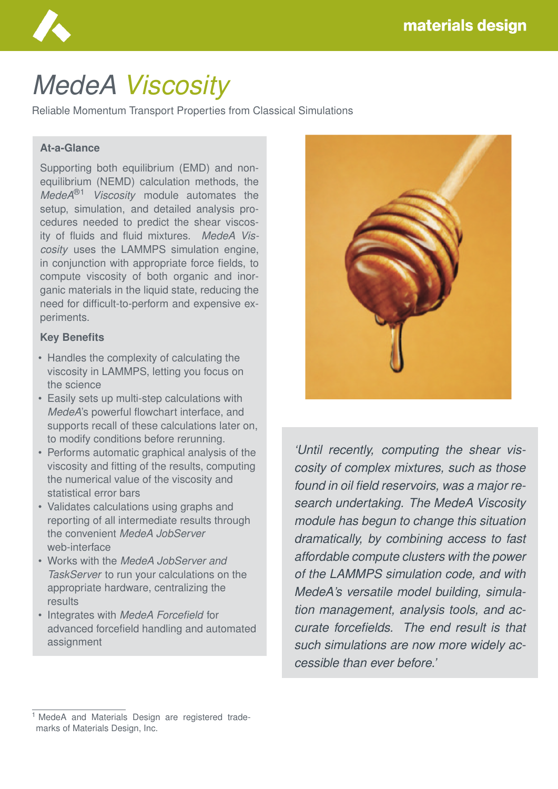

# *MedeA Viscosity*

Reliable Momentum Transport Properties from Classical Simulations

### **At-a-Glance**

Supporting both equilibrium (EMD) and nonequilibrium (NEMD) calculation methods, the *MedeA*®1 *Viscosity* module automates the setup, simulation, and detailed analysis procedures needed to predict the shear viscosity of fluids and fluid mixtures. *MedeA Viscosity* uses the LAMMPS simulation engine, in conjunction with appropriate force fields, to compute viscosity of both organic and inorganic materials in the liquid state, reducing the need for difficult-to-perform and expensive experiments.

#### **Key Benefits**

- Handles the complexity of calculating the viscosity in LAMMPS, letting you focus on the science
- Easily sets up multi-step calculations with *MedeA*'s powerful flowchart interface, and supports recall of these calculations later on, to modify conditions before rerunning.
- Performs automatic graphical analysis of the viscosity and fitting of the results, computing the numerical value of the viscosity and statistical error bars
- Validates calculations using graphs and reporting of all intermediate results through the convenient *MedeA JobServer* web-interface
- Works with the *MedeA JobServer and TaskServer* to run your calculations on the appropriate hardware, centralizing the results
- Integrates with *MedeA Forcefield* for advanced forcefield handling and automated assignment



*'Until recently, computing the shear viscosity of complex mixtures, such as those found in oil field reservoirs, was a major research undertaking. The MedeA Viscosity module has begun to change this situation dramatically, by combining access to fast affordable compute clusters with the power of the LAMMPS simulation code, and with MedeA's versatile model building, simulation management, analysis tools, and accurate forcefields. The end result is that such simulations are now more widely accessible than ever before.'*

<sup>&</sup>lt;sup>1</sup> MedeA and Materials Design are registered trademarks of Materials Design, Inc.